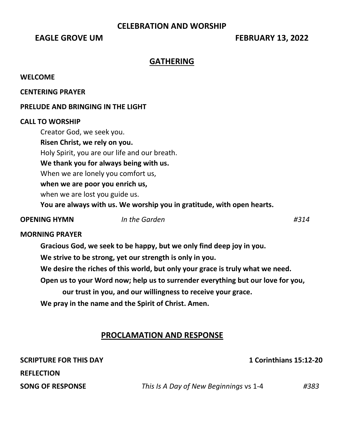# **CELEBRATION AND WORSHIP**

# **EAGLE GROVE UM FEBRUARY 13, 2022**

## **GATHERING**

#### **WELCOME**

**CENTERING PRAYER** 

### **PRELUDE AND BRINGING IN THE LIGHT**

#### **CALL TO WORSHIP**

Creator God, we seek you. **Risen Christ, we rely on you.** Holy Spirit, you are our life and our breath. **We thank you for always being with us.** When we are lonely you comfort us, **when we are poor you enrich us,** when we are lost you guide us. **You are always with us. We worship you in gratitude, with open hearts.**

#### **OPENING HYMN** *In the Garden #314*

#### **MORNING PRAYER**

**Gracious God, we seek to be happy, but we only find deep joy in you.** 

**We strive to be strong, yet our strength is only in you.** 

**We desire the riches of this world, but only your grace is truly what we need.** 

**Open us to your Word now; help us to surrender everything but our love for you,**

**our trust in you, and our willingness to receive your grace.** 

**We pray in the name and the Spirit of Christ. Amen.**

# **PROCLAMATION AND RESPONSE**

| <b>SCRIPTURE FOR THIS DAY</b> | <b>1 Corinthians 15:12-20</b>          |      |
|-------------------------------|----------------------------------------|------|
| <b>REFLECTION</b>             |                                        |      |
| <b>SONG OF RESPONSE</b>       | This Is A Day of New Beginnings vs 1-4 | #383 |